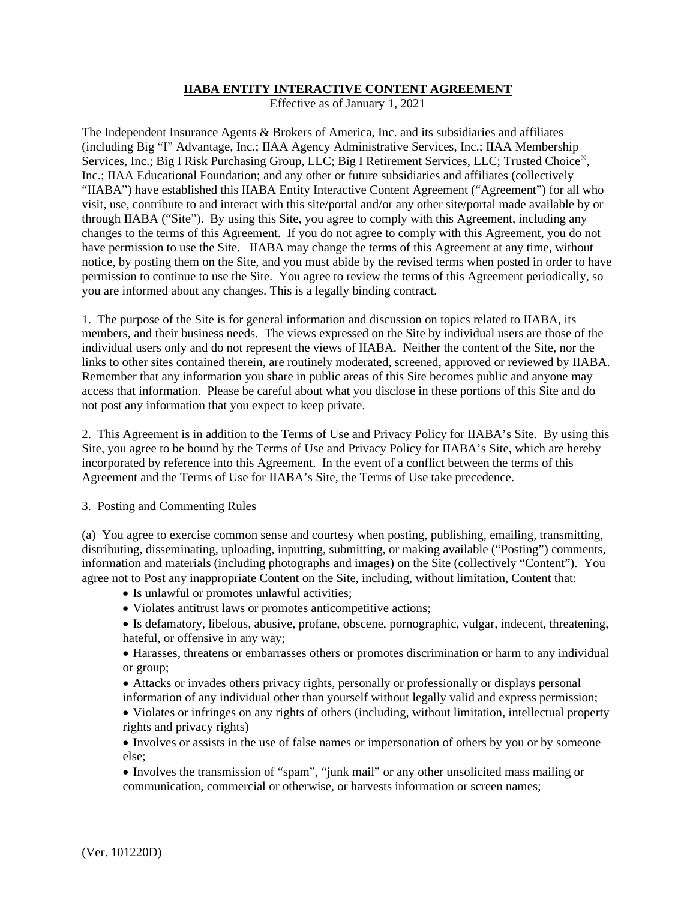## **IIABA ENTITY INTERACTIVE CONTENT AGREEMENT**

Effective as of January 1, 2021

The Independent Insurance Agents & Brokers of America, Inc. and its subsidiaries and affiliates (including Big "I" Advantage, Inc.; IIAA Agency Administrative Services, Inc.; IIAA Membership Services, Inc.; Big I Risk Purchasing Group, LLC; Big I Retirement Services, LLC; Trusted Choice®, Inc.; IIAA Educational Foundation; and any other or future subsidiaries and affiliates (collectively "IIABA") have established this IIABA Entity Interactive Content Agreement ("Agreement") for all who visit, use, contribute to and interact with this site/portal and/or any other site/portal made available by or through IIABA ("Site"). By using this Site, you agree to comply with this Agreement, including any changes to the terms of this Agreement. If you do not agree to comply with this Agreement, you do not have permission to use the Site. IIABA may change the terms of this Agreement at any time, without notice, by posting them on the Site, and you must abide by the revised terms when posted in order to have permission to continue to use the Site. You agree to review the terms of this Agreement periodically, so you are informed about any changes. This is a legally binding contract.

1. The purpose of the Site is for general information and discussion on topics related to IIABA, its members, and their business needs. The views expressed on the Site by individual users are those of the individual users only and do not represent the views of IIABA. Neither the content of the Site, nor the links to other sites contained therein, are routinely moderated, screened, approved or reviewed by IIABA. Remember that any information you share in public areas of this Site becomes public and anyone may access that information. Please be careful about what you disclose in these portions of this Site and do not post any information that you expect to keep private.

2. This Agreement is in addition to the Terms of Use and Privacy Policy for IIABA's Site. By using this Site, you agree to be bound by the Terms of Use and Privacy Policy for IIABA's Site, which are hereby incorporated by reference into this Agreement. In the event of a conflict between the terms of this Agreement and the Terms of Use for IIABA's Site, the Terms of Use take precedence.

3. Posting and Commenting Rules

(a) You agree to exercise common sense and courtesy when posting, publishing, emailing, transmitting, distributing, disseminating, uploading, inputting, submitting, or making available ("Posting") comments, information and materials (including photographs and images) on the Site (collectively "Content"). You agree not to Post any inappropriate Content on the Site, including, without limitation, Content that:

- Is unlawful or promotes unlawful activities;
- Violates antitrust laws or promotes anticompetitive actions;
- Is defamatory, libelous, abusive, profane, obscene, pornographic, vulgar, indecent, threatening, hateful, or offensive in any way;
- Harasses, threatens or embarrasses others or promotes discrimination or harm to any individual or group;
- Attacks or invades others privacy rights, personally or professionally or displays personal information of any individual other than yourself without legally valid and express permission;
- Violates or infringes on any rights of others (including, without limitation, intellectual property rights and privacy rights)
- Involves or assists in the use of false names or impersonation of others by you or by someone else;
- Involves the transmission of "spam", "junk mail" or any other unsolicited mass mailing or communication, commercial or otherwise, or harvests information or screen names;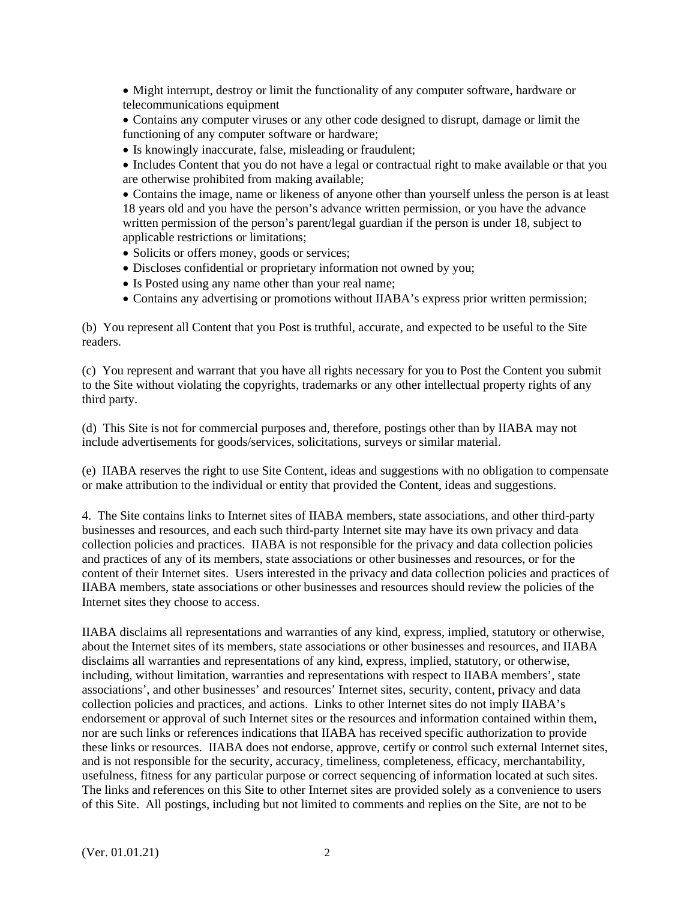• Might interrupt, destroy or limit the functionality of any computer software, hardware or telecommunications equipment

• Contains any computer viruses or any other code designed to disrupt, damage or limit the functioning of any computer software or hardware;

• Is knowingly inaccurate, false, misleading or fraudulent;

• Includes Content that you do not have a legal or contractual right to make available or that you are otherwise prohibited from making available;

• Contains the image, name or likeness of anyone other than yourself unless the person is at least 18 years old and you have the person's advance written permission, or you have the advance written permission of the person's parent/legal guardian if the person is under 18, subject to applicable restrictions or limitations;

- Solicits or offers money, goods or services;
- Discloses confidential or proprietary information not owned by you;
- Is Posted using any name other than your real name;
- Contains any advertising or promotions without IIABA's express prior written permission;

(b) You represent all Content that you Post is truthful, accurate, and expected to be useful to the Site readers.

(c) You represent and warrant that you have all rights necessary for you to Post the Content you submit to the Site without violating the copyrights, trademarks or any other intellectual property rights of any third party.

(d) This Site is not for commercial purposes and, therefore, postings other than by IIABA may not include advertisements for goods/services, solicitations, surveys or similar material.

(e) IIABA reserves the right to use Site Content, ideas and suggestions with no obligation to compensate or make attribution to the individual or entity that provided the Content, ideas and suggestions.

4. The Site contains links to Internet sites of IIABA members, state associations, and other third-party businesses and resources, and each such third-party Internet site may have its own privacy and data collection policies and practices. IIABA is not responsible for the privacy and data collection policies and practices of any of its members, state associations or other businesses and resources, or for the content of their Internet sites. Users interested in the privacy and data collection policies and practices of IIABA members, state associations or other businesses and resources should review the policies of the Internet sites they choose to access.

IIABA disclaims all representations and warranties of any kind, express, implied, statutory or otherwise, about the Internet sites of its members, state associations or other businesses and resources, and IIABA disclaims all warranties and representations of any kind, express, implied, statutory, or otherwise, including, without limitation, warranties and representations with respect to IIABA members', state associations', and other businesses' and resources' Internet sites, security, content, privacy and data collection policies and practices, and actions. Links to other Internet sites do not imply IIABA's endorsement or approval of such Internet sites or the resources and information contained within them, nor are such links or references indications that IIABA has received specific authorization to provide these links or resources. IIABA does not endorse, approve, certify or control such external Internet sites, and is not responsible for the security, accuracy, timeliness, completeness, efficacy, merchantability, usefulness, fitness for any particular purpose or correct sequencing of information located at such sites. The links and references on this Site to other Internet sites are provided solely as a convenience to users of this Site. All postings, including but not limited to comments and replies on the Site, are not to be